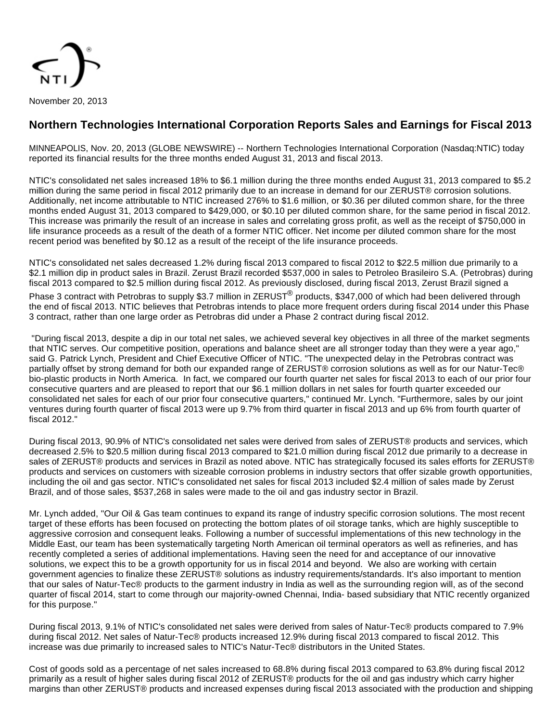

# **Northern Technologies International Corporation Reports Sales and Earnings for Fiscal 2013**

MINNEAPOLIS, Nov. 20, 2013 (GLOBE NEWSWIRE) -- Northern Technologies International Corporation (Nasdaq:NTIC) today reported its financial results for the three months ended August 31, 2013 and fiscal 2013.

NTIC's consolidated net sales increased 18% to \$6.1 million during the three months ended August 31, 2013 compared to \$5.2 million during the same period in fiscal 2012 primarily due to an increase in demand for our ZERUST® corrosion solutions. Additionally, net income attributable to NTIC increased 276% to \$1.6 million, or \$0.36 per diluted common share, for the three months ended August 31, 2013 compared to \$429,000, or \$0.10 per diluted common share, for the same period in fiscal 2012. This increase was primarily the result of an increase in sales and correlating gross profit, as well as the receipt of \$750,000 in life insurance proceeds as a result of the death of a former NTIC officer. Net income per diluted common share for the most recent period was benefited by \$0.12 as a result of the receipt of the life insurance proceeds.

NTIC's consolidated net sales decreased 1.2% during fiscal 2013 compared to fiscal 2012 to \$22.5 million due primarily to a \$2.1 million dip in product sales in Brazil. Zerust Brazil recorded \$537,000 in sales to Petroleo Brasileiro S.A. (Petrobras) during fiscal 2013 compared to \$2.5 million during fiscal 2012. As previously disclosed, during fiscal 2013, Zerust Brazil signed a Phase 3 contract with Petrobras to supply \$3.7 million in ZERUST<sup>®</sup> products, \$347,000 of which had been delivered through the end of fiscal 2013. NTIC believes that Petrobras intends to place more frequent orders during fiscal 2014 under this Phase 3 contract, rather than one large order as Petrobras did under a Phase 2 contract during fiscal 2012.

"During fiscal 2013, despite a dip in our total net sales, we achieved several key objectives in all three of the market segments that NTIC serves. Our competitive position, operations and balance sheet are all stronger today than they were a year ago," said G. Patrick Lynch, President and Chief Executive Officer of NTIC. "The unexpected delay in the Petrobras contract was partially offset by strong demand for both our expanded range of ZERUST® corrosion solutions as well as for our Natur-Tec® bio-plastic products in North America. In fact, we compared our fourth quarter net sales for fiscal 2013 to each of our prior four consecutive quarters and are pleased to report that our \$6.1 million dollars in net sales for fourth quarter exceeded our consolidated net sales for each of our prior four consecutive quarters," continued Mr. Lynch. "Furthermore, sales by our joint ventures during fourth quarter of fiscal 2013 were up 9.7% from third quarter in fiscal 2013 and up 6% from fourth quarter of fiscal 2012."

During fiscal 2013, 90.9% of NTIC's consolidated net sales were derived from sales of ZERUST® products and services, which decreased 2.5% to \$20.5 million during fiscal 2013 compared to \$21.0 million during fiscal 2012 due primarily to a decrease in sales of ZERUST® products and services in Brazil as noted above. NTIC has strategically focused its sales efforts for ZERUST® products and services on customers with sizeable corrosion problems in industry sectors that offer sizable growth opportunities, including the oil and gas sector. NTIC's consolidated net sales for fiscal 2013 included \$2.4 million of sales made by Zerust Brazil, and of those sales, \$537,268 in sales were made to the oil and gas industry sector in Brazil.

Mr. Lynch added, "Our Oil & Gas team continues to expand its range of industry specific corrosion solutions. The most recent target of these efforts has been focused on protecting the bottom plates of oil storage tanks, which are highly susceptible to aggressive corrosion and consequent leaks. Following a number of successful implementations of this new technology in the Middle East, our team has been systematically targeting North American oil terminal operators as well as refineries, and has recently completed a series of additional implementations. Having seen the need for and acceptance of our innovative solutions, we expect this to be a growth opportunity for us in fiscal 2014 and beyond. We also are working with certain government agencies to finalize these ZERUST® solutions as industry requirements/standards. It's also important to mention that our sales of Natur-Tec® products to the garment industry in India as well as the surrounding region will, as of the second quarter of fiscal 2014, start to come through our majority-owned Chennai, India- based subsidiary that NTIC recently organized for this purpose."

During fiscal 2013, 9.1% of NTIC's consolidated net sales were derived from sales of Natur-Tec® products compared to 7.9% during fiscal 2012. Net sales of Natur-Tec® products increased 12.9% during fiscal 2013 compared to fiscal 2012. This increase was due primarily to increased sales to NTIC's Natur-Tec® distributors in the United States.

Cost of goods sold as a percentage of net sales increased to 68.8% during fiscal 2013 compared to 63.8% during fiscal 2012 primarily as a result of higher sales during fiscal 2012 of ZERUST® products for the oil and gas industry which carry higher margins than other ZERUST® products and increased expenses during fiscal 2013 associated with the production and shipping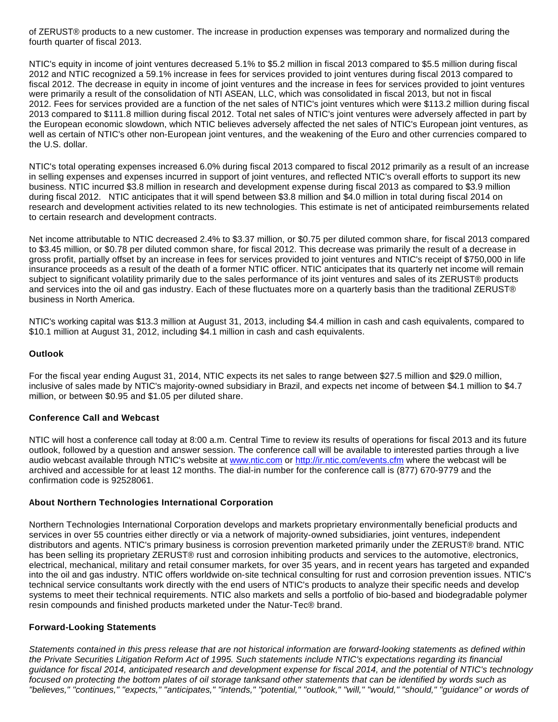of ZERUST® products to a new customer. The increase in production expenses was temporary and normalized during the fourth quarter of fiscal 2013.

NTIC's equity in income of joint ventures decreased 5.1% to \$5.2 million in fiscal 2013 compared to \$5.5 million during fiscal 2012 and NTIC recognized a 59.1% increase in fees for services provided to joint ventures during fiscal 2013 compared to fiscal 2012. The decrease in equity in income of joint ventures and the increase in fees for services provided to joint ventures were primarily a result of the consolidation of NTI ASEAN, LLC, which was consolidated in fiscal 2013, but not in fiscal 2012. Fees for services provided are a function of the net sales of NTIC's joint ventures which were \$113.2 million during fiscal 2013 compared to \$111.8 million during fiscal 2012. Total net sales of NTIC's joint ventures were adversely affected in part by the European economic slowdown, which NTIC believes adversely affected the net sales of NTIC's European joint ventures, as well as certain of NTIC's other non-European joint ventures, and the weakening of the Euro and other currencies compared to the U.S. dollar.

NTIC's total operating expenses increased 6.0% during fiscal 2013 compared to fiscal 2012 primarily as a result of an increase in selling expenses and expenses incurred in support of joint ventures, and reflected NTIC's overall efforts to support its new business. NTIC incurred \$3.8 million in research and development expense during fiscal 2013 as compared to \$3.9 million during fiscal 2012. NTIC anticipates that it will spend between \$3.8 million and \$4.0 million in total during fiscal 2014 on research and development activities related to its new technologies. This estimate is net of anticipated reimbursements related to certain research and development contracts.

Net income attributable to NTIC decreased 2.4% to \$3.37 million, or \$0.75 per diluted common share, for fiscal 2013 compared to \$3.45 million, or \$0.78 per diluted common share, for fiscal 2012. This decrease was primarily the result of a decrease in gross profit, partially offset by an increase in fees for services provided to joint ventures and NTIC's receipt of \$750,000 in life insurance proceeds as a result of the death of a former NTIC officer. NTIC anticipates that its quarterly net income will remain subject to significant volatility primarily due to the sales performance of its joint ventures and sales of its ZERUST® products and services into the oil and gas industry. Each of these fluctuates more on a quarterly basis than the traditional ZERUST® business in North America.

NTIC's working capital was \$13.3 million at August 31, 2013, including \$4.4 million in cash and cash equivalents, compared to \$10.1 million at August 31, 2012, including \$4.1 million in cash and cash equivalents.

## **Outlook**

For the fiscal year ending August 31, 2014, NTIC expects its net sales to range between \$27.5 million and \$29.0 million, inclusive of sales made by NTIC's majority-owned subsidiary in Brazil, and expects net income of between \$4.1 million to \$4.7 million, or between \$0.95 and \$1.05 per diluted share.

## **Conference Call and Webcast**

NTIC will host a conference call today at 8:00 a.m. Central Time to review its results of operations for fiscal 2013 and its future outlook, followed by a question and answer session. The conference call will be available to interested parties through a live audio webcast available through NTIC's website at [www.ntic.com](http://www.globenewswire.com/newsroom/ctr?d=10058508&l=16&a=www.ntic.com&u=http%3A%2F%2Fwww.ntic.com) or<http://ir.ntic.com/events.cfm> where the webcast will be archived and accessible for at least 12 months. The dial-in number for the conference call is (877) 670-9779 and the confirmation code is 92528061.

## **About Northern Technologies International Corporation**

Northern Technologies International Corporation develops and markets proprietary environmentally beneficial products and services in over 55 countries either directly or via a network of majority-owned subsidiaries, joint ventures, independent distributors and agents. NTIC's primary business is corrosion prevention marketed primarily under the ZERUST® brand. NTIC has been selling its proprietary ZERUST® rust and corrosion inhibiting products and services to the automotive, electronics, electrical, mechanical, military and retail consumer markets, for over 35 years, and in recent years has targeted and expanded into the oil and gas industry. NTIC offers worldwide on-site technical consulting for rust and corrosion prevention issues. NTIC's technical service consultants work directly with the end users of NTIC's products to analyze their specific needs and develop systems to meet their technical requirements. NTIC also markets and sells a portfolio of bio-based and biodegradable polymer resin compounds and finished products marketed under the Natur-Tec® brand.

## **Forward-Looking Statements**

Statements contained in this press release that are not historical information are forward-looking statements as defined within the Private Securities Litigation Reform Act of 1995. Such statements include NTIC's expectations regarding its financial guidance for fiscal 2014, anticipated research and development expense for fiscal 2014, and the potential of NTIC's technology focused on protecting the bottom plates of oil storage tanksand other statements that can be identified by words such as "believes," "continues," "expects," "anticipates," "intends," "potential," "outlook," "will," "would," "should," "guidance" or words of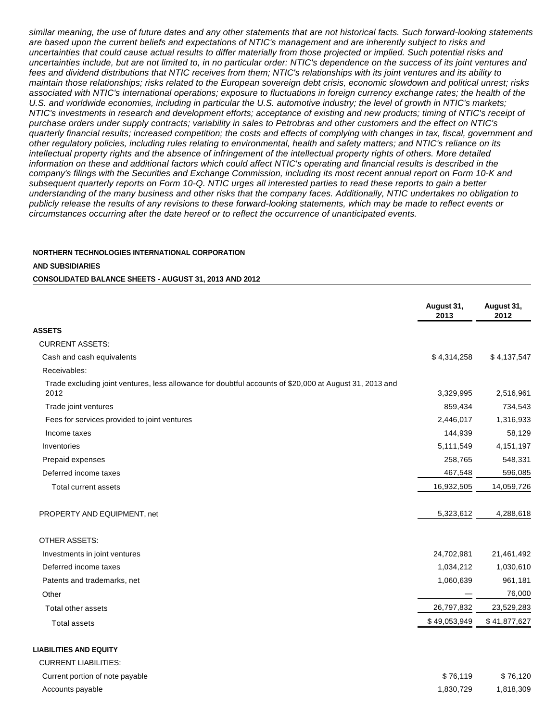similar meaning, the use of future dates and any other statements that are not historical facts. Such forward-looking statements are based upon the current beliefs and expectations of NTIC's management and are inherently subject to risks and uncertainties that could cause actual results to differ materially from those projected or implied. Such potential risks and uncertainties include, but are not limited to, in no particular order: NTIC's dependence on the success of its joint ventures and fees and dividend distributions that NTIC receives from them; NTIC's relationships with its joint ventures and its ability to maintain those relationships; risks related to the European sovereign debt crisis, economic slowdown and political unrest; risks associated with NTIC's international operations; exposure to fluctuations in foreign currency exchange rates; the health of the U.S. and worldwide economies, including in particular the U.S. automotive industry; the level of growth in NTIC's markets; NTIC's investments in research and development efforts; acceptance of existing and new products; timing of NTIC's receipt of purchase orders under supply contracts; variability in sales to Petrobras and other customers and the effect on NTIC's quarterly financial results; increased competition; the costs and effects of complying with changes in tax, fiscal, government and other regulatory policies, including rules relating to environmental, health and safety matters; and NTIC's reliance on its intellectual property rights and the absence of infringement of the intellectual property rights of others. More detailed information on these and additional factors which could affect NTIC's operating and financial results is described in the company's filings with the Securities and Exchange Commission, including its most recent annual report on Form 10-K and subsequent quarterly reports on Form 10-Q. NTIC urges all interested parties to read these reports to gain a better understanding of the many business and other risks that the company faces. Additionally, NTIC undertakes no obligation to publicly release the results of any revisions to these forward-looking statements, which may be made to reflect events or circumstances occurring after the date hereof or to reflect the occurrence of unanticipated events.

#### **NORTHERN TECHNOLOGIES INTERNATIONAL CORPORATION**

#### **AND SUBSIDIARIES**

#### **CONSOLIDATED BALANCE SHEETS - AUGUST 31, 2013 AND 2012**

|                                                                                                                 | August 31,<br>2013 | August 31,<br>2012 |
|-----------------------------------------------------------------------------------------------------------------|--------------------|--------------------|
| <b>ASSETS</b>                                                                                                   |                    |                    |
| <b>CURRENT ASSETS:</b>                                                                                          |                    |                    |
| Cash and cash equivalents                                                                                       | \$4,314,258        | \$4,137,547        |
| Receivables:                                                                                                    |                    |                    |
| Trade excluding joint ventures, less allowance for doubtful accounts of \$20,000 at August 31, 2013 and<br>2012 | 3,329,995          | 2,516,961          |
| Trade joint ventures                                                                                            | 859,434            | 734,543            |
| Fees for services provided to joint ventures                                                                    | 2,446,017          | 1,316,933          |
| Income taxes                                                                                                    | 144,939            | 58,129             |
| Inventories                                                                                                     | 5,111,549          | 4,151,197          |
| Prepaid expenses                                                                                                | 258,765            | 548,331            |
| Deferred income taxes                                                                                           | 467,548            | 596,085            |
| Total current assets                                                                                            | 16,932,505         | 14,059,726         |
| PROPERTY AND EQUIPMENT, net                                                                                     | 5,323,612          | 4,288,618          |
| <b>OTHER ASSETS:</b>                                                                                            |                    |                    |
| Investments in joint ventures                                                                                   | 24,702,981         | 21,461,492         |
| Deferred income taxes                                                                                           | 1,034,212          | 1,030,610          |
| Patents and trademarks, net                                                                                     | 1,060,639          | 961,181            |
| Other                                                                                                           |                    | 76,000             |
| <b>Total other assets</b>                                                                                       | 26,797,832         | 23,529,283         |
| <b>Total assets</b>                                                                                             | \$49,053,949       | \$41,877,627       |
| <b>LIABILITIES AND EQUITY</b>                                                                                   |                    |                    |
| <b>CURRENT LIABILITIES:</b>                                                                                     |                    |                    |
| Current portion of note payable                                                                                 | \$76,119           | \$76,120           |

Accounts payable 1,830,729 1,818,309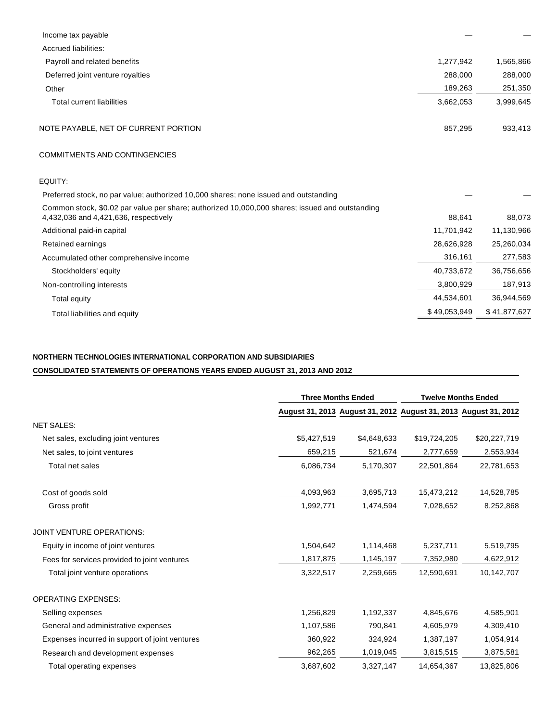| Income tax payable                                                                                                                      |            |            |
|-----------------------------------------------------------------------------------------------------------------------------------------|------------|------------|
| Accrued liabilities:                                                                                                                    |            |            |
| Payroll and related benefits                                                                                                            | 1,277,942  | 1,565,866  |
| Deferred joint venture royalties                                                                                                        | 288,000    | 288,000    |
| Other                                                                                                                                   | 189,263    | 251,350    |
| <b>Total current liabilities</b>                                                                                                        | 3,662,053  | 3,999,645  |
| NOTE PAYABLE, NET OF CURRENT PORTION                                                                                                    | 857,295    | 933,413    |
| <b>COMMITMENTS AND CONTINGENCIES</b>                                                                                                    |            |            |
| EQUITY:                                                                                                                                 |            |            |
| Preferred stock, no par value; authorized 10,000 shares; none issued and outstanding                                                    |            |            |
| Common stock, \$0.02 par value per share; authorized 10,000,000 shares; issued and outstanding<br>4,432,036 and 4,421,636, respectively | 88,641     | 88,073     |
| Additional paid-in capital                                                                                                              | 11,701,942 | 11,130,966 |
| Retained earnings                                                                                                                       | 28,626,928 | 25,260,034 |
| Accumulated other comprehensive income                                                                                                  | 316,161    | 277,583    |
| Stockholders' equity                                                                                                                    | 40,733,672 | 36,756,656 |
| Non-controlling interests                                                                                                               | 3,800,929  | 187,913    |
| <b>Total equity</b>                                                                                                                     | 44,534,601 | 36,944,569 |

Total liabilities and equity **\$ 49,053,949** \$ 41,877,627

## **NORTHERN TECHNOLOGIES INTERNATIONAL CORPORATION AND SUBSIDIARIES CONSOLIDATED STATEMENTS OF OPERATIONS YEARS ENDED AUGUST 31, 2013 AND 2012**

|                                                | <b>Three Months Ended</b> |             | <b>Twelve Months Ended</b> |                                                                 |
|------------------------------------------------|---------------------------|-------------|----------------------------|-----------------------------------------------------------------|
|                                                |                           |             |                            | August 31, 2013 August 31, 2012 August 31, 2013 August 31, 2012 |
| <b>NET SALES:</b>                              |                           |             |                            |                                                                 |
| Net sales, excluding joint ventures            | \$5,427,519               | \$4,648,633 | \$19,724,205               | \$20,227,719                                                    |
| Net sales, to joint ventures                   | 659,215                   | 521,674     | 2,777,659                  | 2,553,934                                                       |
| Total net sales                                | 6,086,734                 | 5,170,307   | 22,501,864                 | 22,781,653                                                      |
| Cost of goods sold                             | 4,093,963                 | 3,695,713   | 15,473,212                 | 14,528,785                                                      |
| Gross profit                                   | 1,992,771                 | 1,474,594   | 7,028,652                  | 8,252,868                                                       |
| <b>JOINT VENTURE OPERATIONS:</b>               |                           |             |                            |                                                                 |
| Equity in income of joint ventures             | 1,504,642                 | 1,114,468   | 5,237,711                  | 5,519,795                                                       |
| Fees for services provided to joint ventures   | 1,817,875                 | 1,145,197   | 7,352,980                  | 4,622,912                                                       |
| Total joint venture operations                 | 3,322,517                 | 2,259,665   | 12,590,691                 | 10,142,707                                                      |
| <b>OPERATING EXPENSES:</b>                     |                           |             |                            |                                                                 |
| Selling expenses                               | 1,256,829                 | 1,192,337   | 4,845,676                  | 4,585,901                                                       |
| General and administrative expenses            | 1,107,586                 | 790,841     | 4,605,979                  | 4,309,410                                                       |
| Expenses incurred in support of joint ventures | 360,922                   | 324,924     | 1,387,197                  | 1,054,914                                                       |
| Research and development expenses              | 962,265                   | 1,019,045   | 3,815,515                  | 3,875,581                                                       |
| Total operating expenses                       | 3,687,602                 | 3,327,147   | 14,654,367                 | 13,825,806                                                      |